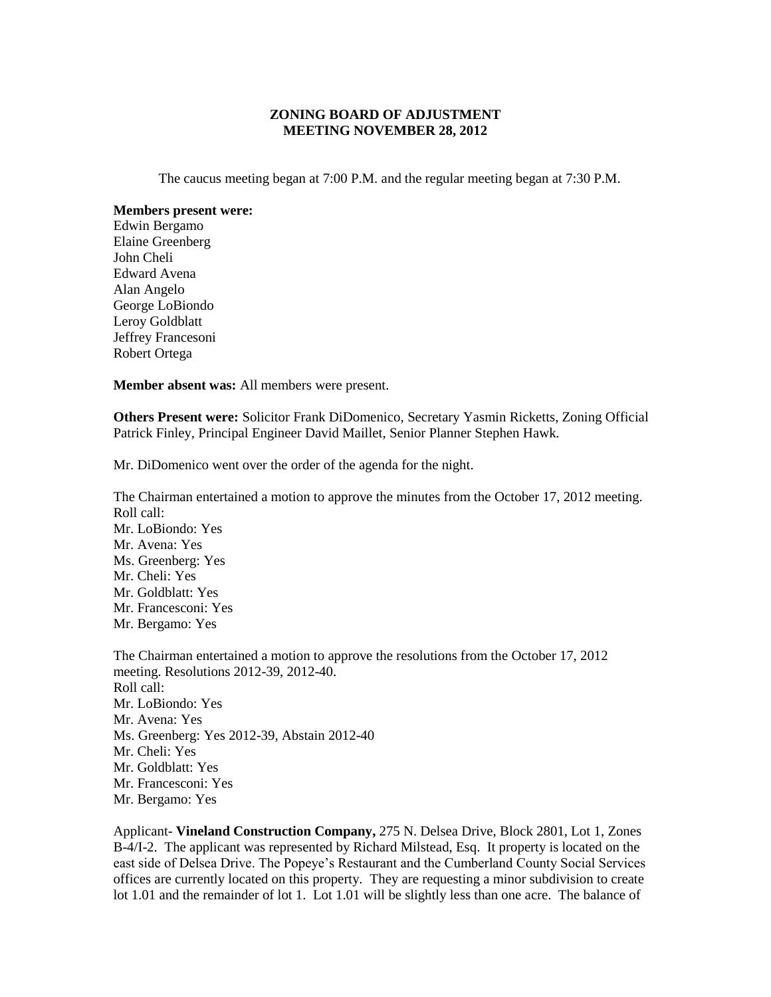## **ZONING BOARD OF ADJUSTMENT MEETING NOVEMBER 28, 2012**

The caucus meeting began at 7:00 P.M. and the regular meeting began at 7:30 P.M.

**Members present were:** Edwin Bergamo Elaine Greenberg John Cheli Edward Avena Alan Angelo George LoBiondo Leroy Goldblatt Jeffrey Francesoni Robert Ortega

**Member absent was:** All members were present.

**Others Present were:** Solicitor Frank DiDomenico, Secretary Yasmin Ricketts, Zoning Official Patrick Finley, Principal Engineer David Maillet, Senior Planner Stephen Hawk.

Mr. DiDomenico went over the order of the agenda for the night.

The Chairman entertained a motion to approve the minutes from the October 17, 2012 meeting. Roll call: Mr. LoBiondo: Yes Mr. Avena: Yes Ms. Greenberg: Yes Mr. Cheli: Yes Mr. Goldblatt: Yes Mr. Francesconi: Yes Mr. Bergamo: Yes The Chairman entertained a motion to approve the resolutions from the October 17, 2012

meeting. Resolutions 2012-39, 2012-40. Roll call: Mr. LoBiondo: Yes Mr. Avena: Yes Ms. Greenberg: Yes 2012-39, Abstain 2012-40 Mr. Cheli: Yes Mr. Goldblatt: Yes Mr. Francesconi: Yes Mr. Bergamo: Yes

Applicant- **Vineland Construction Company,** 275 N. Delsea Drive, Block 2801, Lot 1, Zones B-4/I-2. The applicant was represented by Richard Milstead, Esq. It property is located on the east side of Delsea Drive. The Popeye's Restaurant and the Cumberland County Social Services offices are currently located on this property. They are requesting a minor subdivision to create lot 1.01 and the remainder of lot 1. Lot 1.01 will be slightly less than one acre. The balance of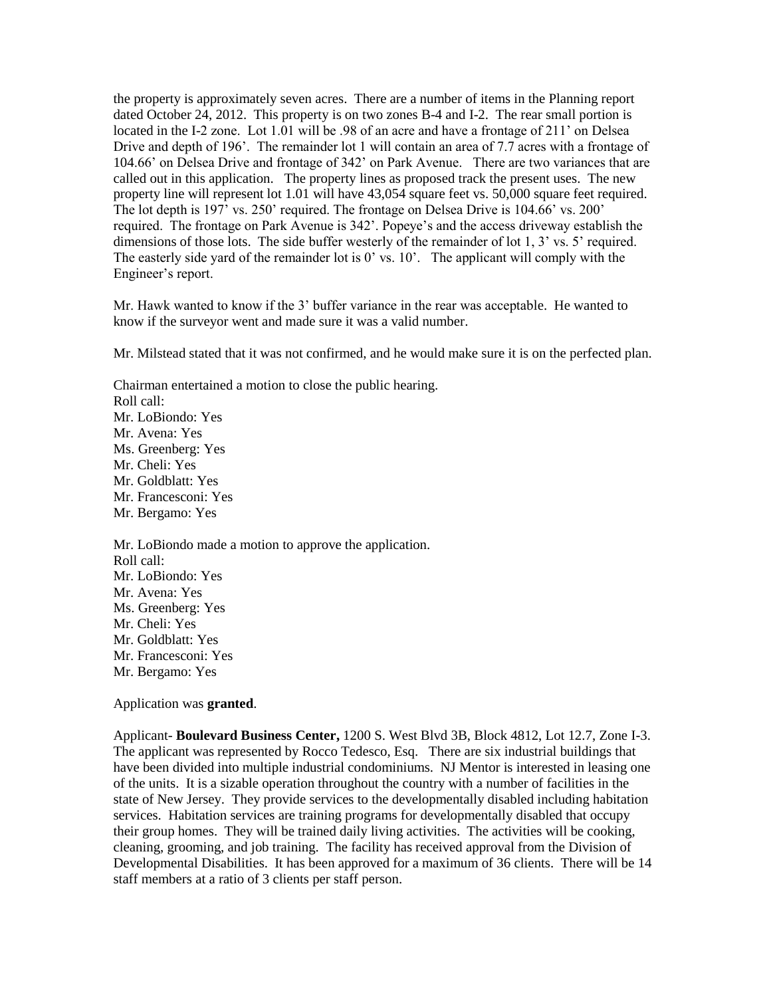the property is approximately seven acres. There are a number of items in the Planning report dated October 24, 2012. This property is on two zones B-4 and I-2. The rear small portion is located in the I-2 zone. Lot 1.01 will be .98 of an acre and have a frontage of 211' on Delsea Drive and depth of 196'. The remainder lot 1 will contain an area of 7.7 acres with a frontage of 104.66' on Delsea Drive and frontage of 342' on Park Avenue. There are two variances that are called out in this application. The property lines as proposed track the present uses. The new property line will represent lot 1.01 will have 43,054 square feet vs. 50,000 square feet required. The lot depth is 197' vs. 250' required. The frontage on Delsea Drive is 104.66' vs. 200' required. The frontage on Park Avenue is 342'. Popeye's and the access driveway establish the dimensions of those lots. The side buffer westerly of the remainder of lot 1, 3' vs. 5' required. The easterly side yard of the remainder lot is 0' vs. 10'. The applicant will comply with the Engineer's report.

Mr. Hawk wanted to know if the 3' buffer variance in the rear was acceptable. He wanted to know if the surveyor went and made sure it was a valid number.

Mr. Milstead stated that it was not confirmed, and he would make sure it is on the perfected plan.

Chairman entertained a motion to close the public hearing. Roll call: Mr. LoBiondo: Yes Mr. Avena: Yes Ms. Greenberg: Yes Mr. Cheli: Yes Mr. Goldblatt: Yes Mr. Francesconi: Yes Mr. Bergamo: Yes Mr. LoBiondo made a motion to approve the application. Roll call: Mr. LoBiondo: Yes Mr. Avena: Yes Ms. Greenberg: Yes Mr. Cheli: Yes

Mr. Goldblatt: Yes

Mr. Francesconi: Yes

Mr. Bergamo: Yes

Application was **granted**.

Applicant- **Boulevard Business Center,** 1200 S. West Blvd 3B, Block 4812, Lot 12.7, Zone I-3. The applicant was represented by Rocco Tedesco, Esq. There are six industrial buildings that have been divided into multiple industrial condominiums. NJ Mentor is interested in leasing one of the units. It is a sizable operation throughout the country with a number of facilities in the state of New Jersey. They provide services to the developmentally disabled including habitation services. Habitation services are training programs for developmentally disabled that occupy their group homes. They will be trained daily living activities. The activities will be cooking, cleaning, grooming, and job training. The facility has received approval from the Division of Developmental Disabilities. It has been approved for a maximum of 36 clients. There will be 14 staff members at a ratio of 3 clients per staff person.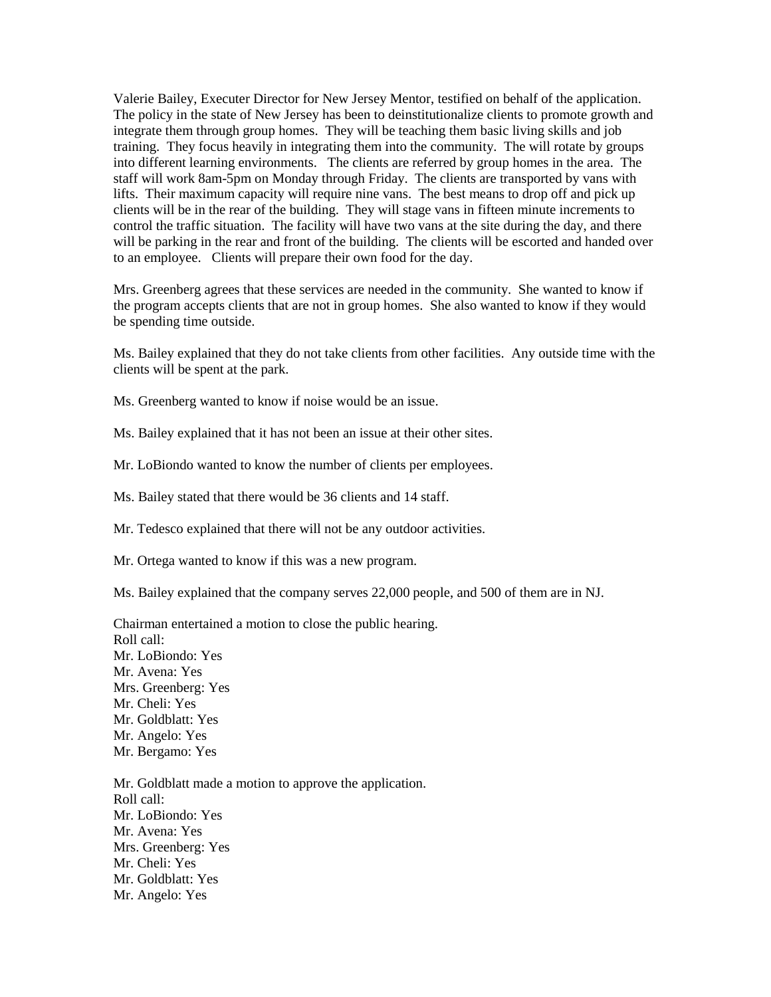Valerie Bailey, Executer Director for New Jersey Mentor, testified on behalf of the application. The policy in the state of New Jersey has been to deinstitutionalize clients to promote growth and integrate them through group homes. They will be teaching them basic living skills and job training. They focus heavily in integrating them into the community. The will rotate by groups into different learning environments. The clients are referred by group homes in the area. The staff will work 8am-5pm on Monday through Friday. The clients are transported by vans with lifts. Their maximum capacity will require nine vans. The best means to drop off and pick up clients will be in the rear of the building. They will stage vans in fifteen minute increments to control the traffic situation. The facility will have two vans at the site during the day, and there will be parking in the rear and front of the building. The clients will be escorted and handed over to an employee. Clients will prepare their own food for the day.

Mrs. Greenberg agrees that these services are needed in the community. She wanted to know if the program accepts clients that are not in group homes. She also wanted to know if they would be spending time outside.

Ms. Bailey explained that they do not take clients from other facilities. Any outside time with the clients will be spent at the park.

Ms. Greenberg wanted to know if noise would be an issue.

Ms. Bailey explained that it has not been an issue at their other sites.

Mr. LoBiondo wanted to know the number of clients per employees.

Ms. Bailey stated that there would be 36 clients and 14 staff.

Mr. Tedesco explained that there will not be any outdoor activities.

Mr. Ortega wanted to know if this was a new program.

Ms. Bailey explained that the company serves 22,000 people, and 500 of them are in NJ.

Chairman entertained a motion to close the public hearing. Roll call: Mr. LoBiondo: Yes Mr. Avena: Yes Mrs. Greenberg: Yes Mr. Cheli: Yes Mr. Goldblatt: Yes Mr. Angelo: Yes Mr. Bergamo: Yes

Mr. Goldblatt made a motion to approve the application. Roll call: Mr. LoBiondo: Yes Mr. Avena: Yes Mrs. Greenberg: Yes Mr. Cheli: Yes Mr. Goldblatt: Yes Mr. Angelo: Yes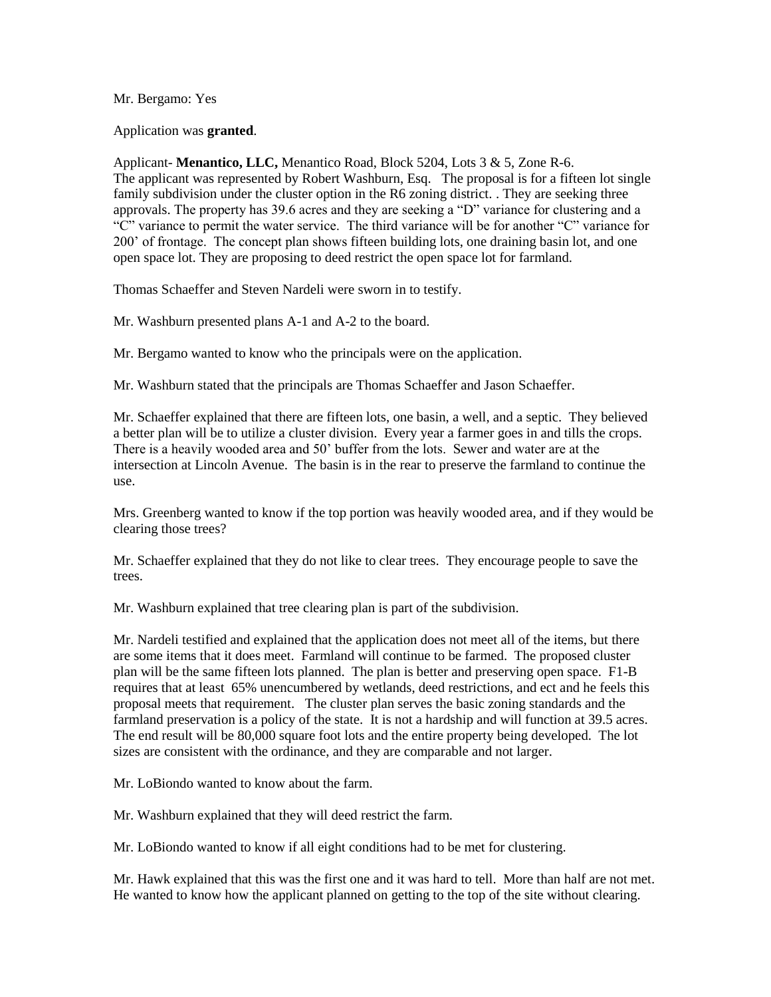## Mr. Bergamo: Yes

Application was **granted**.

Applicant- **Menantico, LLC,** Menantico Road, Block 5204, Lots 3 & 5, Zone R-6. The applicant was represented by Robert Washburn, Esq. The proposal is for a fifteen lot single family subdivision under the cluster option in the R6 zoning district. They are seeking three approvals. The property has 39.6 acres and they are seeking a "D" variance for clustering and a "C" variance to permit the water service. The third variance will be for another "C" variance for 200' of frontage. The concept plan shows fifteen building lots, one draining basin lot, and one open space lot. They are proposing to deed restrict the open space lot for farmland.

Thomas Schaeffer and Steven Nardeli were sworn in to testify.

Mr. Washburn presented plans A-1 and A-2 to the board.

Mr. Bergamo wanted to know who the principals were on the application.

Mr. Washburn stated that the principals are Thomas Schaeffer and Jason Schaeffer.

Mr. Schaeffer explained that there are fifteen lots, one basin, a well, and a septic. They believed a better plan will be to utilize a cluster division. Every year a farmer goes in and tills the crops. There is a heavily wooded area and 50' buffer from the lots. Sewer and water are at the intersection at Lincoln Avenue. The basin is in the rear to preserve the farmland to continue the use.

Mrs. Greenberg wanted to know if the top portion was heavily wooded area, and if they would be clearing those trees?

Mr. Schaeffer explained that they do not like to clear trees. They encourage people to save the trees.

Mr. Washburn explained that tree clearing plan is part of the subdivision.

Mr. Nardeli testified and explained that the application does not meet all of the items, but there are some items that it does meet. Farmland will continue to be farmed. The proposed cluster plan will be the same fifteen lots planned. The plan is better and preserving open space. F1-B requires that at least 65% unencumbered by wetlands, deed restrictions, and ect and he feels this proposal meets that requirement. The cluster plan serves the basic zoning standards and the farmland preservation is a policy of the state. It is not a hardship and will function at 39.5 acres. The end result will be 80,000 square foot lots and the entire property being developed. The lot sizes are consistent with the ordinance, and they are comparable and not larger.

Mr. LoBiondo wanted to know about the farm.

Mr. Washburn explained that they will deed restrict the farm.

Mr. LoBiondo wanted to know if all eight conditions had to be met for clustering.

Mr. Hawk explained that this was the first one and it was hard to tell. More than half are not met. He wanted to know how the applicant planned on getting to the top of the site without clearing.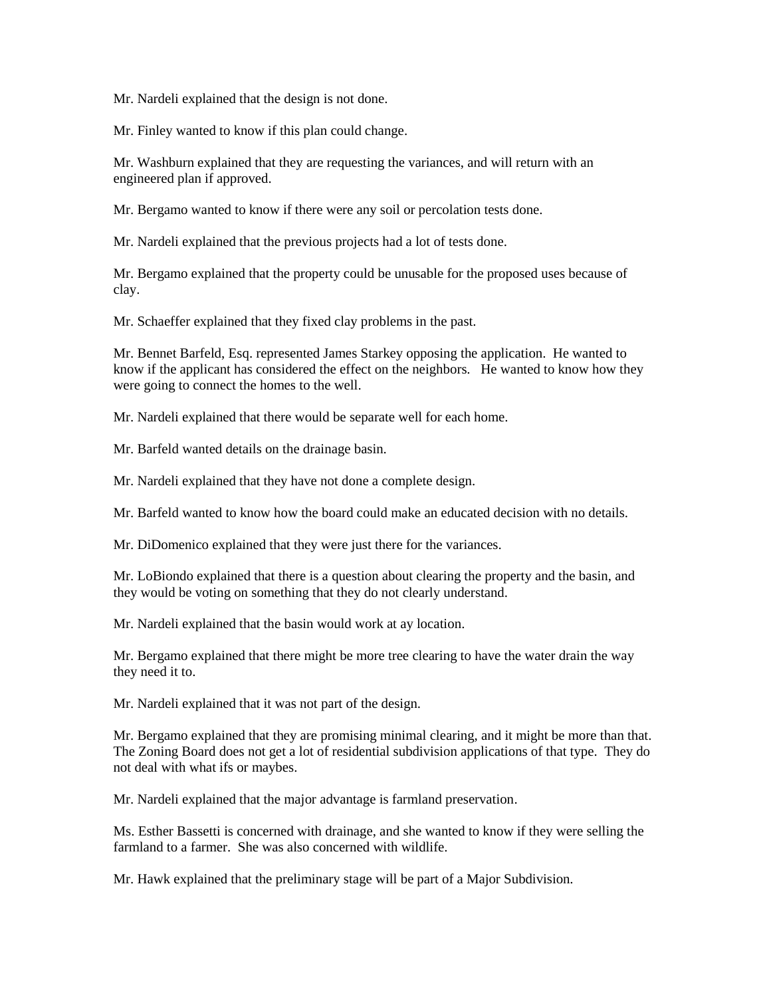Mr. Nardeli explained that the design is not done.

Mr. Finley wanted to know if this plan could change.

Mr. Washburn explained that they are requesting the variances, and will return with an engineered plan if approved.

Mr. Bergamo wanted to know if there were any soil or percolation tests done.

Mr. Nardeli explained that the previous projects had a lot of tests done.

Mr. Bergamo explained that the property could be unusable for the proposed uses because of clay.

Mr. Schaeffer explained that they fixed clay problems in the past.

Mr. Bennet Barfeld, Esq. represented James Starkey opposing the application. He wanted to know if the applicant has considered the effect on the neighbors. He wanted to know how they were going to connect the homes to the well.

Mr. Nardeli explained that there would be separate well for each home.

Mr. Barfeld wanted details on the drainage basin.

Mr. Nardeli explained that they have not done a complete design.

Mr. Barfeld wanted to know how the board could make an educated decision with no details.

Mr. DiDomenico explained that they were just there for the variances.

Mr. LoBiondo explained that there is a question about clearing the property and the basin, and they would be voting on something that they do not clearly understand.

Mr. Nardeli explained that the basin would work at ay location.

Mr. Bergamo explained that there might be more tree clearing to have the water drain the way they need it to.

Mr. Nardeli explained that it was not part of the design.

Mr. Bergamo explained that they are promising minimal clearing, and it might be more than that. The Zoning Board does not get a lot of residential subdivision applications of that type. They do not deal with what ifs or maybes.

Mr. Nardeli explained that the major advantage is farmland preservation.

Ms. Esther Bassetti is concerned with drainage, and she wanted to know if they were selling the farmland to a farmer. She was also concerned with wildlife.

Mr. Hawk explained that the preliminary stage will be part of a Major Subdivision.